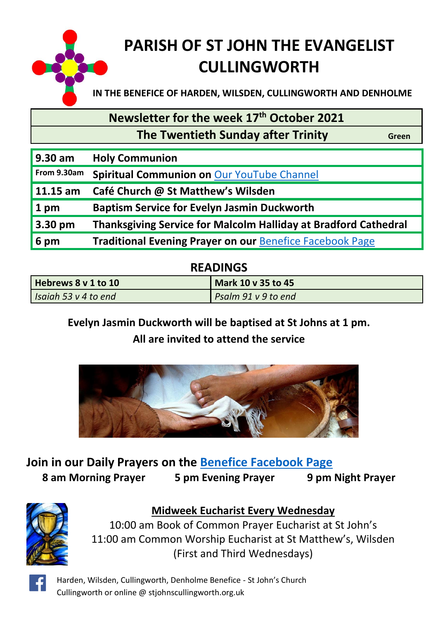

# **PARISH OF ST JOHN THE EVANGELIST CULLINGWORTH**

**IN THE BENEFICE OF HARDEN, WILSDEN, CULLINGWORTH AND DENHOLME**

#### **Newsletter for the week 17 th October 2021**

 **The Twentieth Sunday after Trinity Green** 

| 9.30 am           | <b>Holy Communion</b>                                                  |
|-------------------|------------------------------------------------------------------------|
| From 9.30am       | Spiritual Communion on Our YouTube Channel                             |
| $11.15$ am        | Café Church @ St Matthew's Wilsden                                     |
| $1$ pm            | <b>Baptism Service for Evelyn Jasmin Duckworth</b>                     |
| $3.30 \text{ pm}$ | <b>Thanksgiving Service for Malcolm Halliday at Bradford Cathedral</b> |
| 6 pm              | <b>Traditional Evening Prayer on our Benefice Facebook Page</b>        |

#### **READINGS**

| Hebrews 8 v 1 to 10  | Mark 10 v 35 to 45  |
|----------------------|---------------------|
| Isaiah 53 v 4 to end | Psalm 91 v 9 to end |

#### **Evelyn Jasmin Duckworth will be baptised at St Johns at 1 pm. All are invited to attend the service**



#### **Join in our Daily Prayers on the [Benefice Facebook Page](https://www.facebook.com/Harden-Wilsden-Cullingworth-Denholme-Benefice) 8 am Morning Prayer 5 pm Evening Prayer 9 pm Night Prayer**



#### **Midweek Eucharist Every Wednesday**

10:00 am Book of Common Prayer Eucharist at St John's 11:00 am Common Worship Eucharist at St Matthew's, Wilsden (First and Third Wednesdays)

Harden, Wilsden, Cullingworth, Denholme Benefice - St John's Church Cullingworth or online @ stjohnscullingworth.org.uk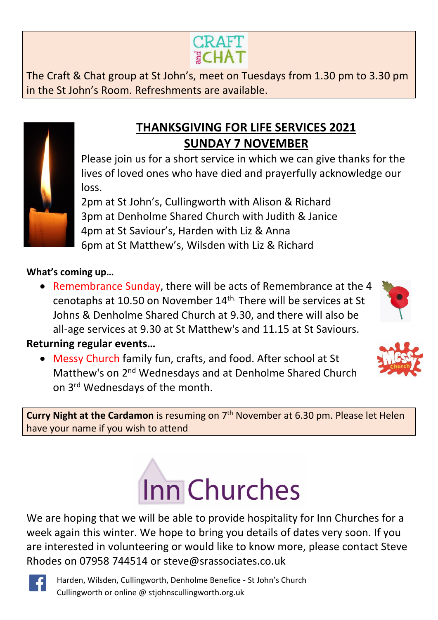# **THANKSGIVING FOR LIFE SERVICES 2021 SUNDAY 7 NOVEMBER**

Please join us for a short service in which we can give thanks for the lives of loved ones who have died and prayerfully acknowledge our loss.

2pm at St John's, Cullingworth with Alison & Richard 3pm at Denholme Shared Church with Judith & Janice 4pm at St Saviour's, Harden with Liz & Anna 6pm at St Matthew's, Wilsden with Liz & Richard

#### **What's coming up…**

• Remembrance Sunday, there will be acts of Remembrance at the 4 cenotaphs at 10.50 on November 14th. There will be services at St Johns & Denholme Shared Church at 9.30, and there will also be all-age services at 9.30 at St Matthew's and 11.15 at St Saviours.

**Returning regular events…**

• Messy Church family fun, crafts, and food. After school at St Matthew's on 2<sup>nd</sup> Wednesdays and at Denholme Shared Church on 3rd Wednesdays of the month.

**Curry Night at the Cardamon** is resuming on 7<sup>th</sup> November at 6.30 pm. Please let Helen have your name if you wish to attend

# Inn Churches

We are hoping that we will be able to provide hospitality for Inn Churches for a week again this winter. We hope to bring you details of dates very soon. If you are interested in volunteering or would like to know more, please contact Steve Rhodes on 07958 744514 or [steve@srassociates.co.uk](mailto:steve@srassociates.co.uk)

Harden, Wilsden, Cullingworth, Denholme Benefice - St John's Church Cullingworth or online @ stjohnscullingworth.org.uk



**CRAFT ECHAT** 







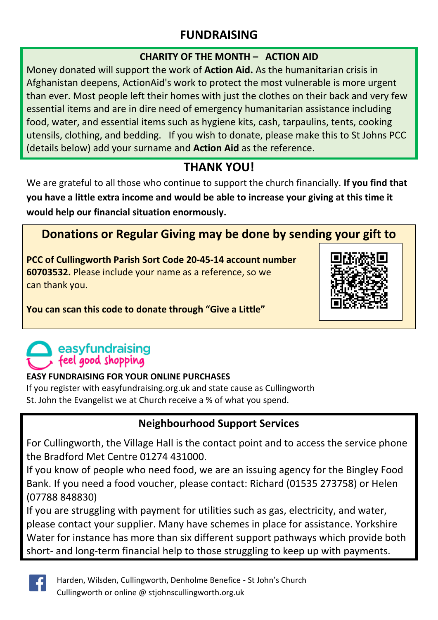# **FUNDRAISING**

#### **CHARITY OF THE MONTH – ACTION AID**

Money donated will support the work of **Action Aid.** As the humanitarian crisis in Afghanistan deepens, ActionAid's work to protect the most vulnerable is more urgent than ever. Most people left their homes with just the clothes on their back and very few essential items and are in dire need of emergency humanitarian assistance including food, water, and essential items such as hygiene kits, cash, tarpaulins, tents, cooking utensils, clothing, and bedding. If you wish to donate, please make this to St Johns PCC (details below) add your surname and **Action Aid** as the reference.

#### **THANK YOU!**

We are grateful to all those who continue to support the church financially. **If you find that you have a little extra income and would be able to increase your giving at this time it would help our financial situation enormously.**

# **Donations or Regular Giving may be done by sending your gift to**

**PCC of Cullingworth Parish Sort Code 20-45-14 account number 60703532.** Please include your name as a reference, so we can thank you.



**You can scan this code to donate through "Give a Little"**

# easyfundraising feel good shopping

#### **EASY FUNDRAISING FOR YOUR ONLINE PURCHASES**

If you register with easyfundraising.org.uk and state cause as Cullingworth St. John the Evangelist we at Church receive a % of what you spend.

#### **Neighbourhood Support Services**

For Cullingworth, the Village Hall is the contact point and to access the service phone the Bradford Met Centre 01274 431000.

If you know of people who need food, we are an issuing agency for the Bingley Food Bank. If you need a food voucher, please contact: Richard (01535 273758) or Helen (07788 848830)

If you are struggling with payment for utilities such as gas, electricity, and water, please contact your supplier. Many have schemes in place for assistance. Yorkshire Water for instance has more than six different support pathways which provide both short- and long-term financial help to those struggling to keep up with payments.

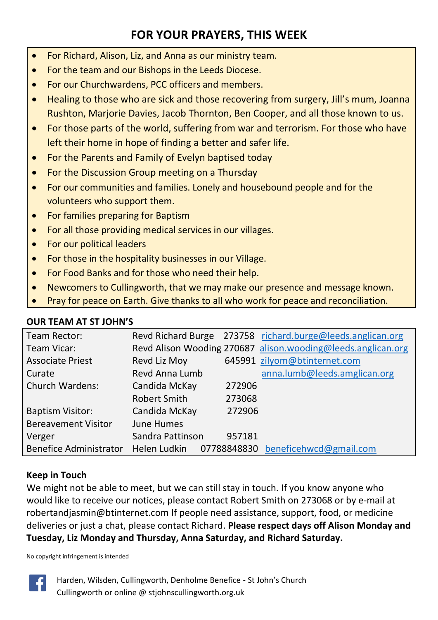# **FOR YOUR PRAYERS, THIS WEEK**

- For Richard, Alison, Liz, and Anna as our ministry team.
- For the team and our Bishops in the Leeds Diocese.
- For our Churchwardens, PCC officers and members.
- Healing to those who are sick and those recovering from surgery, Jill's mum, Joanna Rushton, Marjorie Davies, Jacob Thornton, Ben Cooper, and all those known to us.
- For those parts of the world, suffering from war and terrorism. For those who have left their home in hope of finding a better and safer life.
- For the Parents and Family of Evelyn baptised today
- For the Discussion Group meeting on a Thursday
- For our communities and families. Lonely and housebound people and for the volunteers who support them.
- For families preparing for Baptism
- For all those providing medical services in our villages.
- For our political leaders
- For those in the hospitality businesses in our Village.
- For Food Banks and for those who need their help.
- Newcomers to Cullingworth, that we may make our presence and message known.
- Pray for peace on Earth. Give thanks to all who work for peace and reconciliation.

#### **OUR TEAM AT ST JOHN'S**

| Team Rector:                  |                  |             | Revd Richard Burge 273758 richard.burge@leeds.anglican.org   |
|-------------------------------|------------------|-------------|--------------------------------------------------------------|
| Team Vicar:                   |                  |             | Revd Alison Wooding 270687 alison.wooding@leeds.anglican.org |
| <b>Associate Priest</b>       | Revd Liz Moy     |             | 645991 zilyom@btinternet.com                                 |
| Curate                        | Revd Anna Lumb   |             | anna.lumb@leeds.amglican.org                                 |
| <b>Church Wardens:</b>        | Candida McKay    | 272906      |                                                              |
|                               | Robert Smith     | 273068      |                                                              |
| <b>Baptism Visitor:</b>       | Candida McKay    | 272906      |                                                              |
| <b>Bereavement Visitor</b>    | June Humes       |             |                                                              |
| Verger                        | Sandra Pattinson | 957181      |                                                              |
| <b>Benefice Administrator</b> | Helen Ludkin     | 07788848830 | beneficehwcd@gmail.com                                       |

#### **Keep in Touch**

We might not be able to meet, but we can still stay in touch. If you know anyone who would like to receive our notices, please contact Robert Smith on 273068 or by e-mail at [robertandjasmin@btinternet.com](mailto:robertandjasmin@btinternet.com) If people need assistance, support, food, or medicine deliveries or just a chat, please contact Richard. **Please respect days off Alison Monday and Tuesday, Liz Monday and Thursday, Anna Saturday, and Richard Saturday.**

No copyright infringement is intended



Harden, Wilsden, Cullingworth, Denholme Benefice - St John's Church Cullingworth or online @ stjohnscullingworth.org.uk